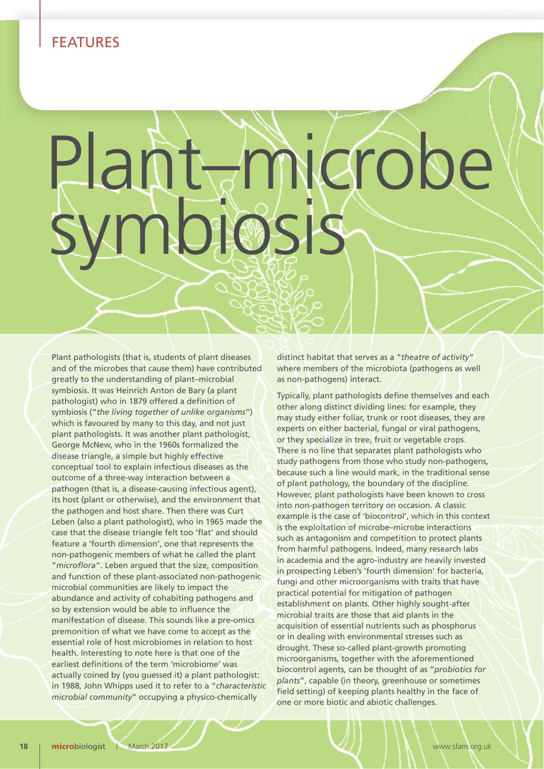## FEATURES

## Plant–migrobe symbiosis

Plant pathologists (that is, students of plant diseases and of the microbes that cause them) have contributed greatly to the understanding of plant–microbial symbiosis. It was Heinrich Anton de Bary (a plant pathologist) who in 1879 offered a definition of symbiosis ("*the living together of unlike organisms*") which is favoured by many to this day, and not just plant pathologists. It was another plant pathologist, George McNew, who in the 1960s formalized the disease triangle, a simple but highly effective conceptual tool to explain infectious diseases as the outcome of a three-way interaction between a pathogen (that is, a disease-causing infectious agent), its host (plant or otherwise), and the environment that the pathogen and host share. Then there was Curt Leben (also a plant pathologist), who in 1965 made the case that the disease triangle felt too 'flat' and should feature a 'fourth dimension', one that represents the non-pathogenic members of what he called the plant "*microflora*". Leben argued that the size, composition and function of these plant-associated non-pathogenic microbial communities are likely to impact the abundance and activity of cohabiting pathogens and so by extension would be able to influence the manifestation of disease. This sounds like a pre-omics premonition of what we have come to accept as the essential role of host microbiomes in relation to host health. Interesting to note here is that one of the earliest definitions of the term 'microbiome' was actually coined by (you guessed it) a plant pathologist: in 1988, John Whipps used it to refer to a "*characteristic microbial community*" occupying a physico-chemically

distinct habitat that serves as a "*theatre of activity*" where members of the microbiota (pathogens as well as non-pathogens) interact.

Typically, plant pathologists define themselves and each other along distinct dividing lines: for example, they may study either foliar, trunk or root diseases, they are experts on either bacterial, fungal or viral pathogens, or they specialize in tree, fruit or vegetable crops. There is no line that separates plant pathologists who study pathogens from those who study non-pathogens, because such a line would mark, in the traditional sense of plant pathology, the boundary of the discipline. However, plant pathologists have been known to cross into non-pathogen territory on occasion. A classic example is the case of 'biocontrol', which in this context is the exploitation of microbe–microbe interactions such as antagonism and competition to protect plants from harmful pathogens. Indeed, many research labs in academia and the agro-industry are heavily invested in prospecting Leben's 'fourth dimension' for bacteria, fungi and other microorganisms with traits that have practical potential for mitigation of pathogen establishment on plants. Other highly sought-after microbial traits are those that aid plants in the acquisition of essential nutrients such as phosphorus or in dealing with environmental stresses such as drought. These so-called plant-growth promoting microorganisms, together with the aforementioned biocontrol agents, can be thought of as "*probiotics for plants*", capable (in theory, greenhouse or sometimes field setting) of keeping plants healthy in the face of one or more biotic and abiotic challenges.